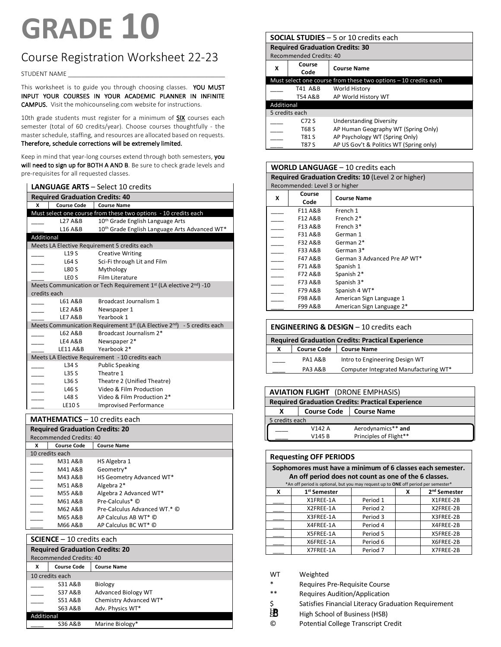# **GRADE 10**

# Course Registration Worksheet 22-23

© STUDENT NAME \_\_\_\_\_\_\_\_\_\_\_\_\_\_\_\_\_\_\_\_\_\_\_\_\_\_\_\_\_\_\_\_\_\_\_\_\_\_\_\_\_\_\_\_\_\_\_

This worksheet is to guide you through choosing classes. YOU MUST INPUT YOUR COURSES IN YOUR ACADEMIC PLANNER IN INFINITE CAMPUS. Visit the mohicounseling.com website for instructions.

10th grade students must register for a minimum of **SIX** courses each semester (total of 60 credits/year). Choose courses thoughtfully - the master schedule, staffing, and resources are allocated based on requests. Therefore, schedule corrections will be extremely limited.

Keep in mind that year-long courses extend through both semesters, you will need to sign up for BOTH A AND B. Be sure to check grade levels and pre-requisites for all requested classes.

|              |                                        | <b>LANGUAGE ARTS - Select 10 credits</b>                                                        |  |
|--------------|----------------------------------------|-------------------------------------------------------------------------------------------------|--|
|              | <b>Required Graduation Credits: 40</b> |                                                                                                 |  |
| x            | <b>Course Code</b>                     | <b>Course Name</b>                                                                              |  |
|              |                                        | Must select one course from these two options - 10 credits each                                 |  |
|              | L27 A&B                                | 10 <sup>th</sup> Grade English Language Arts                                                    |  |
|              | L <sub>16</sub> A&B                    | 10th Grade English Language Arts Advanced WT*                                                   |  |
| Additional   |                                        |                                                                                                 |  |
|              |                                        | Meets LA Elective Requirement 5 credits each                                                    |  |
|              | L <sub>19</sub> S                      | <b>Creative Writing</b>                                                                         |  |
|              | L64 S                                  | Sci-Fi through Lit and Film                                                                     |  |
|              | L80 S                                  | Mythology                                                                                       |  |
|              | LEO <sub>S</sub>                       | Film Literature                                                                                 |  |
|              |                                        | Meets Communication or Tech Requirement $1st$ (LA elective $2nd$ ) -10                          |  |
| credits each |                                        |                                                                                                 |  |
|              | L61 A&B                                | Broadcast Journalism 1                                                                          |  |
|              | LE2 A&B                                | Newspaper 1                                                                                     |  |
|              | LE7 A&B                                | Yearbook 1                                                                                      |  |
|              |                                        | Meets Communication Requirement 1 <sup>st</sup> (LA Elective 2 <sup>nd</sup> ) - 5 credits each |  |
|              | L62 A&B                                | Broadcast Journalism 2*                                                                         |  |
|              | LE4 A&B                                | Newspaper 2*                                                                                    |  |
|              | LE11 A&B                               | Yearbook 2*                                                                                     |  |
|              |                                        | Meets LA Elective Requirement - 10 credits each                                                 |  |
|              | L34S                                   | <b>Public Speaking</b>                                                                          |  |
|              | L35 S                                  | Theatre 1                                                                                       |  |
|              | L36 S                                  | Theatre 2 (Unified Theatre)                                                                     |  |
|              | L46 S                                  | Video & Film Production                                                                         |  |
|              | <b>L48 S</b>                           | Video & Film Production 2*                                                                      |  |
|              | <b>LE10S</b>                           | <b>Improvised Performance</b>                                                                   |  |

**MATHEMATICS** – 10 credits each

|   | <b>Required Graduation Credits: 20</b> |                              |  |  |
|---|----------------------------------------|------------------------------|--|--|
|   | <b>Recommended Credits: 40</b>         |                              |  |  |
| x | <b>Course Code</b>                     | <b>Course Name</b>           |  |  |
|   | 10 credits each                        |                              |  |  |
|   | M31 A&B                                | HS Algebra 1                 |  |  |
|   | M41 A&B                                | Geometry*                    |  |  |
|   | M43 A&B                                | HS Geometry Advanced WT*     |  |  |
|   | M51 A&B                                | Algebra 2*                   |  |  |
|   | M55 A&B                                | Algebra 2 Advanced WT*       |  |  |
|   | M61 A&B                                | Pre-Calculus* ©              |  |  |
|   | M62 A&B                                | Pre-Calculus Advanced WT.* © |  |  |
|   | M65 A&B                                | AP Calculus AB WT* ©         |  |  |
|   | M66 A&B                                | AP Calculus BC WT* ©         |  |  |

# **SCIENCE** – 10 credits each

| <b>Required Graduation Credits: 20</b><br><b>Recommended Credits: 40</b> |                    |                            |  |
|--------------------------------------------------------------------------|--------------------|----------------------------|--|
| x                                                                        | <b>Course Code</b> | <b>Course Name</b>         |  |
|                                                                          | 10 credits each    |                            |  |
|                                                                          | <b>S31 A&amp;B</b> | Biology                    |  |
|                                                                          | <b>S37 A&amp;B</b> | <b>Advanced Biology WT</b> |  |
|                                                                          | <b>S51 A&amp;B</b> | Chemistry Advanced WT*     |  |
|                                                                          | S63 A&B            | Adv. Physics WT*           |  |
| Additional                                                               |                    |                            |  |
|                                                                          | <b>S36 A&amp;B</b> | Marine Biology*            |  |

|                | <b>SOCIAL STUDIES</b> – 5 or 10 credits each |                                                                  |  |
|----------------|----------------------------------------------|------------------------------------------------------------------|--|
|                | <b>Required Graduation Credits: 30</b>       |                                                                  |  |
|                | Recommended Credits: 40                      |                                                                  |  |
| x              | Course                                       | <b>Course Name</b>                                               |  |
|                | Code                                         |                                                                  |  |
|                |                                              | Must select one course from these two options $-10$ credits each |  |
|                | T41 A&B                                      | World History                                                    |  |
|                | T54 A&B                                      | AP World History WT                                              |  |
|                | Additional                                   |                                                                  |  |
| 5 credits each |                                              |                                                                  |  |
|                | $C72$ S                                      | <b>Understanding Diversity</b>                                   |  |
|                | T68 S                                        | AP Human Geography WT (Spring Only)                              |  |
|                | T81 S                                        | AP Psychology WT (Spring Only)                                   |  |
|                | T87 S                                        | AP US Gov't & Politics WT (Spring only)                          |  |

|   | <b>WORLD LANGUAGE - 10 credits each</b> |                                                            |  |  |
|---|-----------------------------------------|------------------------------------------------------------|--|--|
|   |                                         | <b>Required Graduation Credits: 10 (Level 2 or higher)</b> |  |  |
|   | Recommended: Level 3 or higher          |                                                            |  |  |
| X | Course<br>Code                          | <b>Course Name</b>                                         |  |  |
|   | F11 A&B                                 | French 1                                                   |  |  |
|   | F12 A&B                                 | French 2*                                                  |  |  |
|   | F13 A&B                                 | French 3*                                                  |  |  |
|   | F31 A&B                                 | German 1                                                   |  |  |
|   | F32 A&B                                 | German 2*                                                  |  |  |
|   | F33 A&B                                 | German 3*                                                  |  |  |
|   | F47 A&B                                 | German 3 Advanced Pre AP WT*                               |  |  |
|   | F71 A&B                                 | Spanish 1                                                  |  |  |
|   | F72 A&B                                 | Spanish 2*                                                 |  |  |
|   | F73 A&B                                 | Spanish 3*                                                 |  |  |
|   | F79 A&B                                 | Spanish 4 WT*                                              |  |  |
|   | F98 A&B                                 | American Sign Language 1                                   |  |  |
|   | F99 A&B                                 | American Sign Language 2*                                  |  |  |

| <b>ENGINEERING &amp; DESIGN</b> $-10$ credits each       |                    |                                       |  |
|----------------------------------------------------------|--------------------|---------------------------------------|--|
| <b>Required Graduation Credits: Practical Experience</b> |                    |                                       |  |
| x                                                        | <b>Course Code</b> | <b>Course Name</b>                    |  |
|                                                          | PA1 A&B            | Intro to Engineering Design WT        |  |
|                                                          | <b>PA3 A&amp;B</b> | Computer Integrated Manufacturing WT* |  |

| <b>AVIATION FLIGHT</b> (DRONE EMPHASIS)                  |                                          |                        |  |
|----------------------------------------------------------|------------------------------------------|------------------------|--|
| <b>Required Graduation Credits: Practical Experience</b> |                                          |                        |  |
| x                                                        | <b>Course Code</b><br><b>Course Name</b> |                        |  |
| 5 credits each                                           |                                          |                        |  |
|                                                          | V142 A                                   | Aerodynamics** and     |  |
|                                                          | V145 B                                   | Principles of Flight** |  |

| <b>Requesting OFF PERIODS</b>                         |                                                                                    |                     |   |                          |
|-------------------------------------------------------|------------------------------------------------------------------------------------|---------------------|---|--------------------------|
|                                                       | Sophomores must have a minimum of 6 classes each semester.                         |                     |   |                          |
| An off period does not count as one of the 6 classes. |                                                                                    |                     |   |                          |
|                                                       | *An off period is optional, but you may request up to ONE off period per semester* |                     |   |                          |
| X                                                     | 1 <sup>st</sup> Semester                                                           |                     | x | 2 <sup>nd</sup> Semester |
|                                                       | X1FREE-1A                                                                          | Period 1            |   | X1FREE-2B                |
|                                                       | X2FREE-1A                                                                          | Period 2            |   | X2FREE-2B                |
|                                                       | X3FREE-1A                                                                          | Period 3            |   | X3FREE-2B                |
|                                                       | X4FREE-1A                                                                          | Period 4            |   | X4FREE-2B                |
|                                                       | X5FREE-1A                                                                          | Period 5            |   | X5FREE-2B                |
|                                                       | X6FREE-1A                                                                          | Period 6            |   | X6FREE-2B                |
|                                                       | X7FREE-1A                                                                          | Period <sub>7</sub> |   | X7FREE-2B                |

WT Weighted

\* Requires Pre-Requisite Course

- Requires Audition/Application
- \$ Satisfies Financial Literacy Graduation Requirement
- 郢 High School of Business (HSB)

© Potential College Transcript Credit